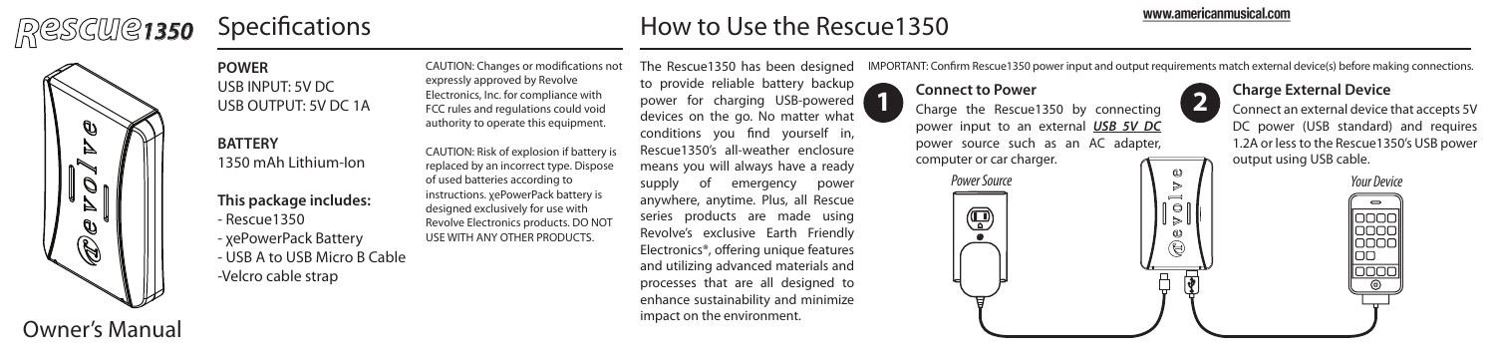# *Rescue<sup>1350</sup>*

## Specifications **How to Use the Rescue1350**

## www.americanmusical.com

**2**

IMPORTANT: Confirm Rescue1350 power input and output requirements match external device(s) before making connections.



Owner's Manual

## **POWER** USB INPUT: 5V DC USB OUTPUT: 5V DC 1A

**BATTERY** 1350 mAh Lithium-Ion

**This package includes:** - Rescue1350 - χePowerPack Battery - USB A to USB Micro B Cable -Velcro cable strap

CAUTION: Changes or modifications not expressly approved by Revolve Electronics, Inc. for compliance with FCC rules and regulations could void authority to operate this equipment.

CAUTION: Risk of explosion if battery is replaced by an incorrect type. Dispose of used batteries according to instructions. χePowerPack battery is designed exclusively for use with Revolve Electronics products. DO NOT USE WITH ANY OTHER PRODUCTS.

to provide reliable battery backup power for charging USB-powered devices on the go. No matter what conditions you find yourself in, Rescue1350's all-weather enclosure means you will always have a ready supply of emergency power anywhere, anytime. Plus, all Rescue series products are made using Revolve's exclusive Earth Friendly Electronics®, offering unique features and utilizing advanced materials and processes that are all designed to enhance sustainability and minimize impact on the environment.

The Rescue1350 has been designed

## **Connect to Power**

 $\circledR$ 

**1 Charge the Rescue1350 by connecting <b>1 Charge External Device**<br> **1 Charge the Rescue1350 by connecting <b>1 2 Connectian external device** power input to an external *USB 5V DC* power source such as an AC adapter, computer or car charger.

Connect an external device that accepts 5V DC power (USB standard) and requires 1.2A or less to the Rescue1350's USB power output using USB cable.

 $\overline{\phantom{0}}$